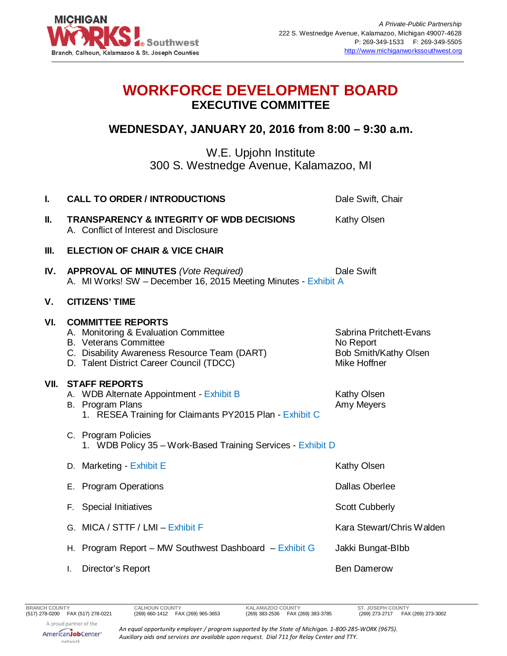

## **WORKFORCE DEVELOPMENT BOARD EXECUTIVE COMMITTEE**

## **WEDNESDAY, JANUARY 20, 2016 from 8:00 – 9:30 a.m.**

W.E. Upjohn Institute 300 S. Westnedge Avenue, Kalamazoo, MI

| I.   | <b>CALL TO ORDER / INTRODUCTIONS</b>                                                                                                                                                         | Dale Swift, Chair                                                             |
|------|----------------------------------------------------------------------------------------------------------------------------------------------------------------------------------------------|-------------------------------------------------------------------------------|
| II.  | <b>TRANSPARENCY &amp; INTEGRITY OF WDB DECISIONS</b><br>A. Conflict of Interest and Disclosure                                                                                               | Kathy Olsen                                                                   |
| Ш.   | <b>ELECTION OF CHAIR &amp; VICE CHAIR</b>                                                                                                                                                    |                                                                               |
| IV.  | <b>APPROVAL OF MINUTES (Vote Required)</b><br>A. MI Works! SW - December 16, 2015 Meeting Minutes - Exhibit A                                                                                | Dale Swift                                                                    |
| ۷.   | <b>CITIZENS' TIME</b>                                                                                                                                                                        |                                                                               |
| VI.  | <b>COMMITTEE REPORTS</b><br>A. Monitoring & Evaluation Committee<br><b>B.</b> Veterans Committee<br>C. Disability Awareness Resource Team (DART)<br>D. Talent District Career Council (TDCC) | Sabrina Pritchett-Evans<br>No Report<br>Bob Smith/Kathy Olsen<br>Mike Hoffner |
| VII. | <b>STAFF REPORTS</b><br>A. WDB Alternate Appointment - Exhibit B<br>B. Program Plans<br>1. RESEA Training for Claimants PY2015 Plan - Exhibit C                                              | Kathy Olsen<br>Amy Meyers                                                     |
|      | C. Program Policies<br>1. WDB Policy 35 - Work-Based Training Services - Exhibit D                                                                                                           |                                                                               |
|      | D. Marketing - Exhibit E                                                                                                                                                                     | Kathy Olsen                                                                   |
|      | E. Program Operations                                                                                                                                                                        | <b>Dallas Oberlee</b>                                                         |
|      | F. Special Initiatives                                                                                                                                                                       | <b>Scott Cubberly</b>                                                         |
|      | G. MICA / STTF / LMI - Exhibit F                                                                                                                                                             | Kara Stewart/Chris Walden                                                     |
|      | H. Program Report - MW Southwest Dashboard - Exhibit G                                                                                                                                       | Jakki Bungat-Blbb                                                             |
|      | Director's Report<br>T.                                                                                                                                                                      | <b>Ben Damerow</b>                                                            |
|      |                                                                                                                                                                                              |                                                                               |

*An equal opportunity employer / program supported by the State of Michigan. 1-800-285-WORK (9675). Auxiliary aids and services are available upon request. Dial 711 for Relay Center and TTY.*